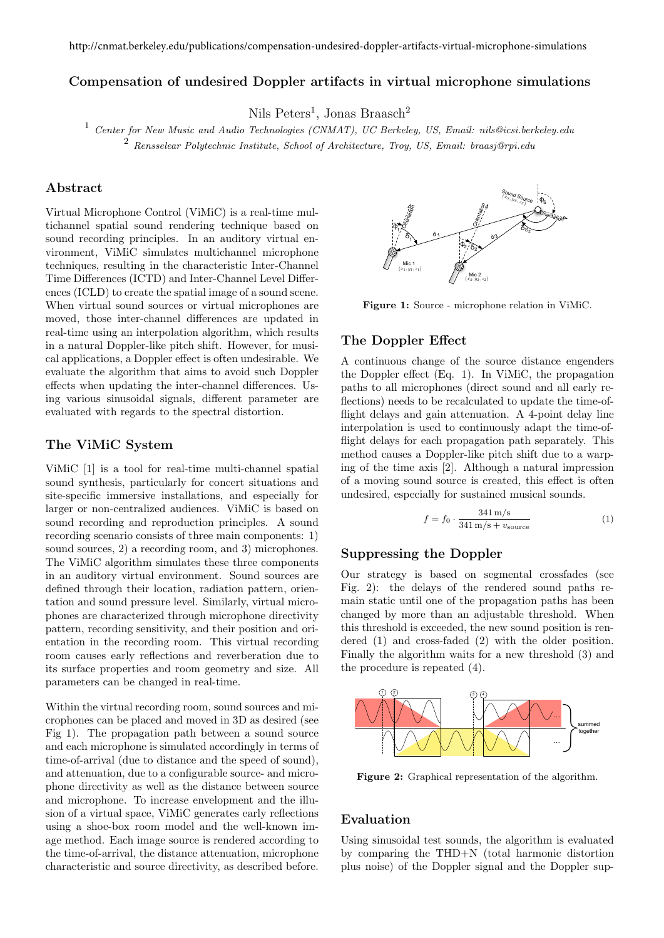<http://cnmat.berkeley.edu/publications/compensation-undesired-doppler-artifacts-virtual-microphone-simulations>

# Compensation of undesired Doppler artifacts in virtual microphone simulations

Nils Peters<sup>1</sup>, Jonas Braasch<sup>2</sup>

<sup>1</sup> *Center for New Music and Audio Technologies (CNMAT), UC Berkeley, US, Email: nils@icsi.berkeley.edu* <sup>2</sup> *Rensselear Polytechnic Institute, School of Architecture, Troy, US, Email: braasj@rpi.edu*

# Abstract

Virtual Microphone Control (ViMiC) is a real-time multichannel spatial sound rendering technique based on sound recording principles. In an auditory virtual environment, ViMiC simulates multichannel microphone techniques, resulting in the characteristic Inter-Channel Time Differences (ICTD) and Inter-Channel Level Differences (ICLD) to create the spatial image of a sound scene. When virtual sound sources or virtual microphones are moved, those inter-channel differences are updated in real-time using an interpolation algorithm, which results in a natural Doppler-like pitch shift. However, for musical applications, a Doppler effect is often undesirable. We evaluate the algorithm that aims to avoid such Doppler effects when updating the inter-channel differences. Using various sinusoidal signals, different parameter are evaluated with regards to the spectral distortion.

## The ViMiC System

ViMiC [1] is a tool for real-time multi-channel spatial sound synthesis, particularly for concert situations and site-specific immersive installations, and especially for larger or non-centralized audiences. ViMiC is based on sound recording and reproduction principles. A sound recording scenario consists of three main components: 1) sound sources, 2) a recording room, and 3) microphones. The ViMiC algorithm simulates these three components in an auditory virtual environment. Sound sources are defined through their location, radiation pattern, orientation and sound pressure level. Similarly, virtual microphones are characterized through microphone directivity pattern, recording sensitivity, and their position and orientation in the recording room. This virtual recording room causes early reflections and reverberation due to its surface properties and room geometry and size. All parameters can be changed in real-time.

Within the virtual recording room, sound sources and microphones can be placed and moved in 3D as desired (see Fig 1). The propagation path between a sound source and each microphone is simulated accordingly in terms of time-of-arrival (due to distance and the speed of sound), and attenuation, due to a configurable source- and microphone directivity as well as the distance between source and microphone. To increase envelopment and the illusion of a virtual space, ViMiC generates early reflections using a shoe-box room model and the well-known image method. Each image source is rendered according to the time-of-arrival, the distance attenuation, microphone characteristic and source directivity, as described before.



Figure 1: Source - microphone relation in ViMiC.

### The Doppler Effect

A continuous change of the source distance engenders the Doppler effect  $(Eq. 1)$ . In ViMiC, the propagation paths to all microphones (direct sound and all early reflections) needs to be recalculated to update the time-offlight delays and gain attenuation. A 4-point delay line interpolation is used to continuously adapt the time-offlight delays for each propagation path separately. This method causes a Doppler-like pitch shift due to a warping of the time axis [2]. Although a natural impression of a moving sound source is created, this effect is often undesired, especially for sustained musical sounds.

$$
f = f_0 \cdot \frac{341 \text{ m/s}}{341 \text{ m/s} + v_{\text{source}}}
$$
 (1)

# Suppressing the Doppler

Our strategy is based on segmental crossfades (see Fig. 2): the delays of the rendered sound paths remain static until one of the propagation paths has been changed by more than an adjustable threshold. When this threshold is exceeded, the new sound position is rendered (1) and cross-faded (2) with the older position. Finally the algorithm waits for a new threshold (3) and the procedure is repeated (4).



Figure 2: Graphical representation of the algorithm.

## Evaluation

Using sinusoidal test sounds, the algorithm is evaluated by comparing the THD+N (total harmonic distortion plus noise) of the Doppler signal and the Doppler sup